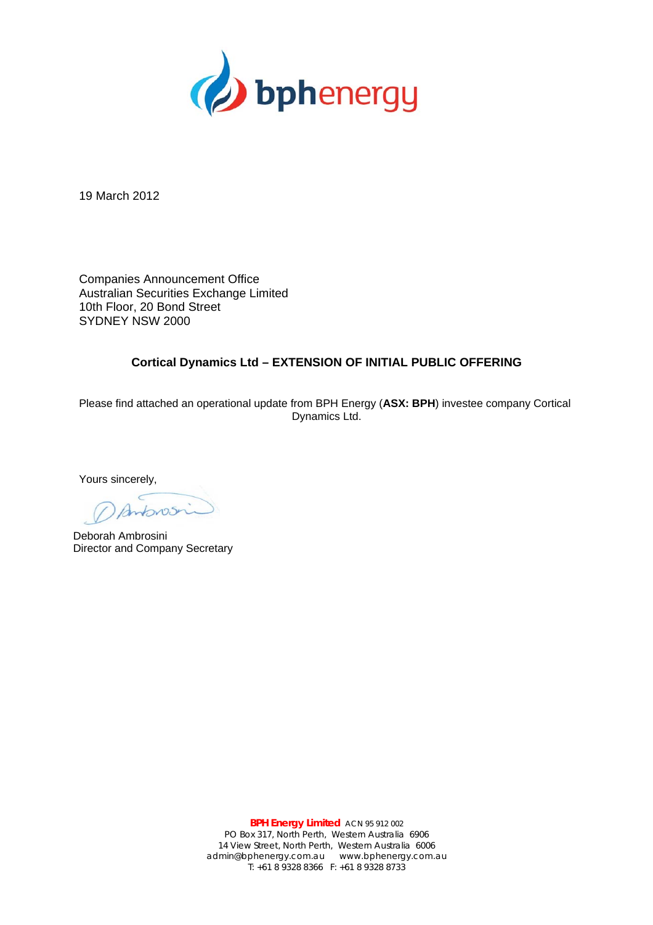

19 March 2012

Companies Announcement Office Australian Securities Exchange Limited 10th Floor, 20 Bond Street SYDNEY NSW 2000

## **Cortical Dynamics Ltd – EXTENSION OF INITIAL PUBLIC OFFERING**

Please find attached an operational update from BPH Energy (**ASX: BPH**) investee company Cortical Dynamics Ltd.

Yours sincerely,

Antonos

Deborah Ambrosini Director and Company Secretary

**BPH Energy Limited** ACN 95 912 002 PO Box 317, North Perth, Western Australia 6906 14 View Street, North Perth, Western Australia 6006 admin@bphenergy.com.au www.bphenergy.com.au T: +61 8 9328 8366 F: +61 8 9328 8733